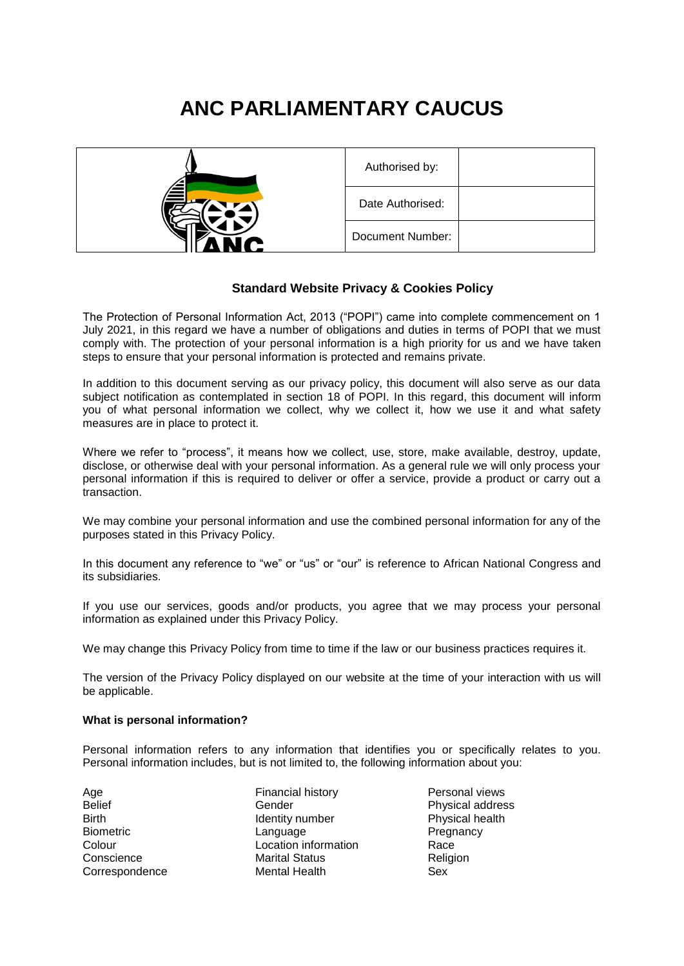# **ANC PARLIAMENTARY CAUCUS**



# **Standard Website Privacy & Cookies Policy**

The Protection of Personal Information Act, 2013 ("POPI") came into complete commencement on 1 July 2021, in this regard we have a number of obligations and duties in terms of POPI that we must comply with. The protection of your personal information is a high priority for us and we have taken steps to ensure that your personal information is protected and remains private.

In addition to this document serving as our privacy policy, this document will also serve as our data subject notification as contemplated in section 18 of POPI. In this regard, this document will inform you of what personal information we collect, why we collect it, how we use it and what safety measures are in place to protect it.

Where we refer to "process", it means how we collect, use, store, make available, destroy, update, disclose, or otherwise deal with your personal information. As a general rule we will only process your personal information if this is required to deliver or offer a service, provide a product or carry out a transaction.

We may combine your personal information and use the combined personal information for any of the purposes stated in this Privacy Policy.

In this document any reference to "we" or "us" or "our" is reference to African National Congress and its subsidiaries.

If you use our services, goods and/or products, you agree that we may process your personal information as explained under this Privacy Policy.

We may change this Privacy Policy from time to time if the law or our business practices requires it.

The version of the Privacy Policy displayed on our website at the time of your interaction with us will be applicable.

## **What is personal information?**

Personal information refers to any information that identifies you or specifically relates to you. Personal information includes, but is not limited to, the following information about you:

Belief **Belief Belief Physical address Belief Physical address** Birth **IDENTITY IDENTITY IN THE INCOLLE Physical health** Physical health Biometric Language Language Pregnancy Colour Location information Race Conscience Marital Status Religion Correspondence Mental Health Sex

Age **Financial history Personal views Personal views**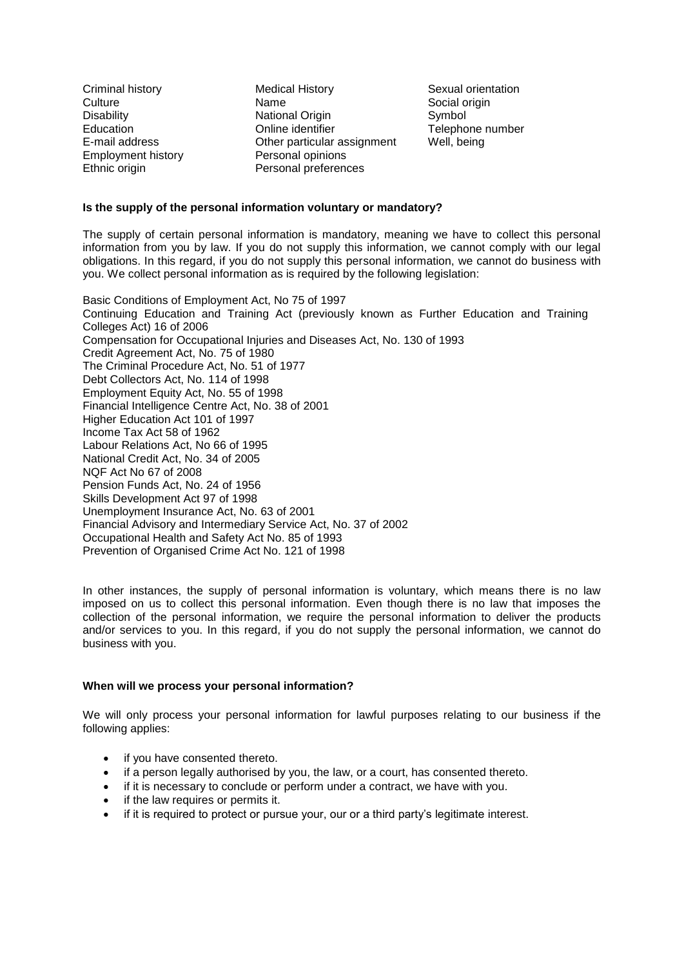Employment history **Personal opinions** 

Criminal history Medical History Sexual orientation Culture **Name** Name Social origin Disability **National Origin** Symbol Symbol Education Online identifier Telephone number E-mail address Other particular assignment Well, being Ethnic origin Personal preferences

# **Is the supply of the personal information voluntary or mandatory?**

The supply of certain personal information is mandatory, meaning we have to collect this personal information from you by law. If you do not supply this information, we cannot comply with our legal obligations. In this regard, if you do not supply this personal information, we cannot do business with you. We collect personal information as is required by the following legislation:

Basic Conditions of Employment Act, No 75 of 1997 Continuing Education and Training Act (previously known as Further Education and Training Colleges Act) 16 of 2006 Compensation for Occupational Injuries and Diseases Act, No. 130 of 1993 Credit Agreement Act, No. 75 of 1980 The Criminal Procedure Act, No. 51 of 1977 Debt Collectors Act, No. 114 of 1998 Employment Equity Act, No. 55 of 1998 Financial Intelligence Centre Act, No. 38 of 2001 Higher Education Act 101 of 1997 Income Tax Act 58 of 1962 Labour Relations Act, No 66 of 1995 National Credit Act, No. 34 of 2005 NQF Act No 67 of 2008 Pension Funds Act, No. 24 of 1956 Skills Development Act 97 of 1998 Unemployment Insurance Act, No. 63 of 2001 Financial Advisory and Intermediary Service Act, No. 37 of 2002 Occupational Health and Safety Act No. 85 of 1993 Prevention of Organised Crime Act No. 121 of 1998

In other instances, the supply of personal information is voluntary, which means there is no law imposed on us to collect this personal information. Even though there is no law that imposes the collection of the personal information, we require the personal information to deliver the products and/or services to you. In this regard, if you do not supply the personal information, we cannot do business with you.

# **When will we process your personal information?**

We will only process your personal information for lawful purposes relating to our business if the following applies:

- if you have consented thereto.
- if a person legally authorised by you, the law, or a court, has consented thereto.
- if it is necessary to conclude or perform under a contract, we have with you.
- if the law requires or permits it.
- if it is required to protect or pursue your, our or a third party's legitimate interest.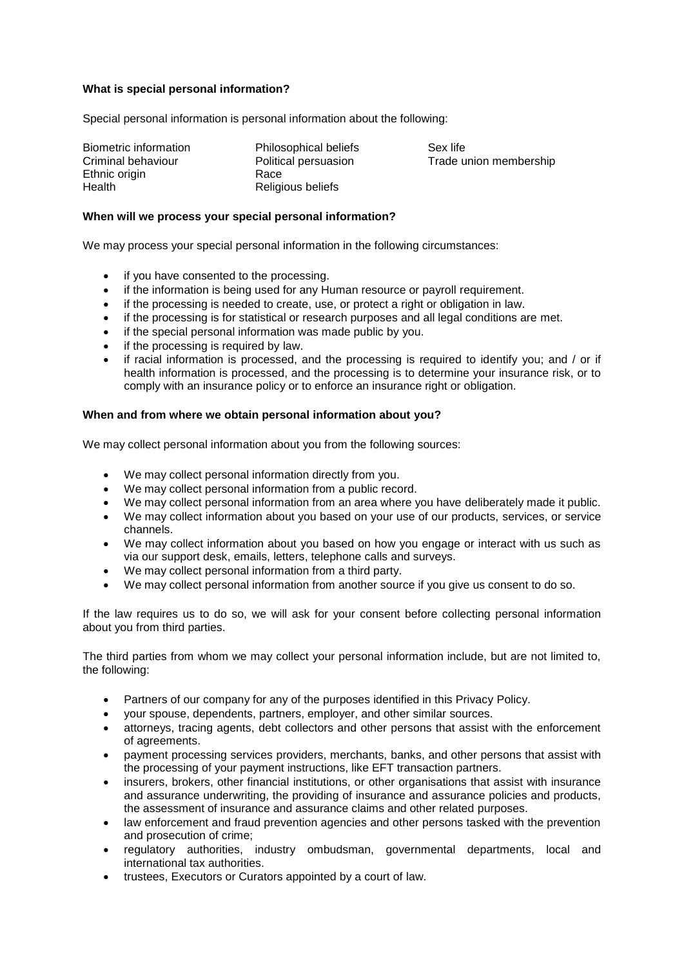# **What is special personal information?**

Special personal information is personal information about the following:

Biometric information Philosophical beliefs Sex life Ethnic origin **Race** Health Religious beliefs

Criminal behaviour Political persuasion Trade union membership

## **When will we process your special personal information?**

We may process your special personal information in the following circumstances:

- if you have consented to the processing.
- if the information is being used for any Human resource or payroll requirement.
- if the processing is needed to create, use, or protect a right or obligation in law.
- if the processing is for statistical or research purposes and all legal conditions are met.
- if the special personal information was made public by you.
- if the processing is required by law.
- if racial information is processed, and the processing is required to identify you; and / or if health information is processed, and the processing is to determine your insurance risk, or to comply with an insurance policy or to enforce an insurance right or obligation.

#### **When and from where we obtain personal information about you?**

We may collect personal information about you from the following sources:

- We may collect personal information directly from you.
- We may collect personal information from a public record.
- We may collect personal information from an area where you have deliberately made it public.
- We may collect information about you based on your use of our products, services, or service channels.
- We may collect information about you based on how you engage or interact with us such as via our support desk, emails, letters, telephone calls and surveys.
- We may collect personal information from a third party.
- We may collect personal information from another source if you give us consent to do so.

If the law requires us to do so, we will ask for your consent before collecting personal information about you from third parties.

The third parties from whom we may collect your personal information include, but are not limited to, the following:

- Partners of our company for any of the purposes identified in this Privacy Policy.
- your spouse, dependents, partners, employer, and other similar sources.
- attorneys, tracing agents, debt collectors and other persons that assist with the enforcement of agreements.
- payment processing services providers, merchants, banks, and other persons that assist with the processing of your payment instructions, like EFT transaction partners.
- insurers, brokers, other financial institutions, or other organisations that assist with insurance and assurance underwriting, the providing of insurance and assurance policies and products, the assessment of insurance and assurance claims and other related purposes.
- law enforcement and fraud prevention agencies and other persons tasked with the prevention and prosecution of crime;
- regulatory authorities, industry ombudsman, governmental departments, local and international tax authorities.
- trustees, Executors or Curators appointed by a court of law.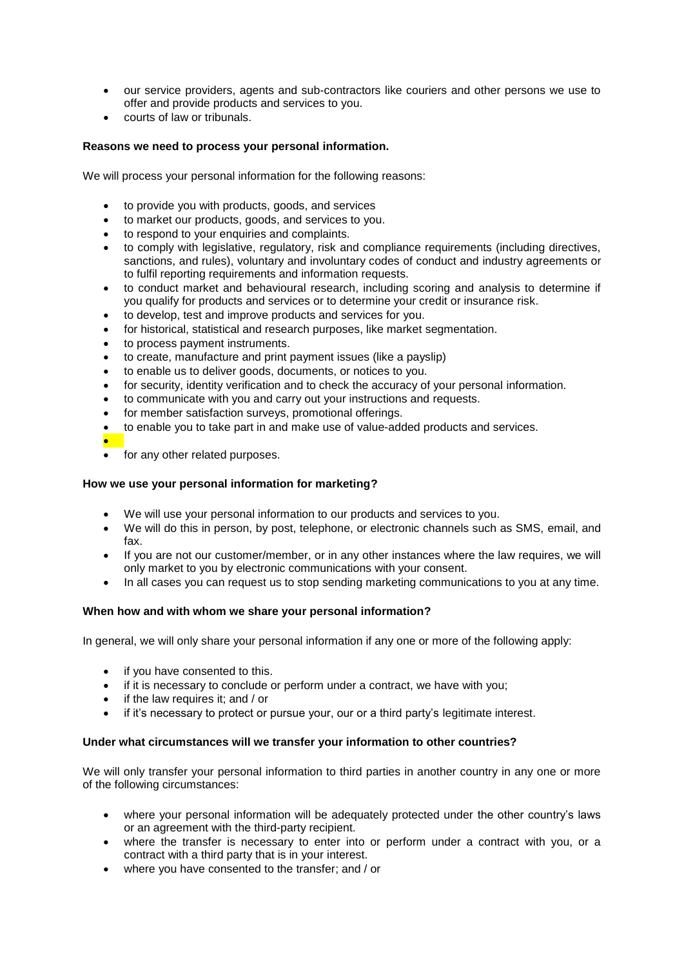- our service providers, agents and sub-contractors like couriers and other persons we use to offer and provide products and services to you.
- courts of law or tribunals.

# **Reasons we need to process your personal information.**

We will process your personal information for the following reasons:

- to provide you with products, goods, and services
- to market our products, goods, and services to you.
- to respond to your enquiries and complaints.
- to comply with legislative, regulatory, risk and compliance requirements (including directives, sanctions, and rules), voluntary and involuntary codes of conduct and industry agreements or to fulfil reporting requirements and information requests.
- to conduct market and behavioural research, including scoring and analysis to determine if you qualify for products and services or to determine your credit or insurance risk.
- to develop, test and improve products and services for you.
- for historical, statistical and research purposes, like market segmentation.
- to process payment instruments.
- to create, manufacture and print payment issues (like a payslip)
- to enable us to deliver goods, documents, or notices to you.
- for security, identity verification and to check the accuracy of your personal information.
- to communicate with you and carry out your instructions and requests.
- for member satisfaction surveys, promotional offerings.
- to enable you to take part in and make use of value-added products and services.
- $\bullet$ for any other related purposes.

## **How we use your personal information for marketing?**

- We will use your personal information to our products and services to you.
- We will do this in person, by post, telephone, or electronic channels such as SMS, email, and fax.
- If you are not our customer/member, or in any other instances where the law requires, we will only market to you by electronic communications with your consent.
- In all cases you can request us to stop sending marketing communications to you at any time.

#### **When how and with whom we share your personal information?**

In general, we will only share your personal information if any one or more of the following apply:

- if you have consented to this.
- if it is necessary to conclude or perform under a contract, we have with you;
- if the law requires it; and / or
- if it's necessary to protect or pursue your, our or a third party's legitimate interest.

#### **Under what circumstances will we transfer your information to other countries?**

We will only transfer your personal information to third parties in another country in any one or more of the following circumstances:

- where your personal information will be adequately protected under the other country's laws or an agreement with the third-party recipient.
- where the transfer is necessary to enter into or perform under a contract with you, or a contract with a third party that is in your interest.
- where you have consented to the transfer; and / or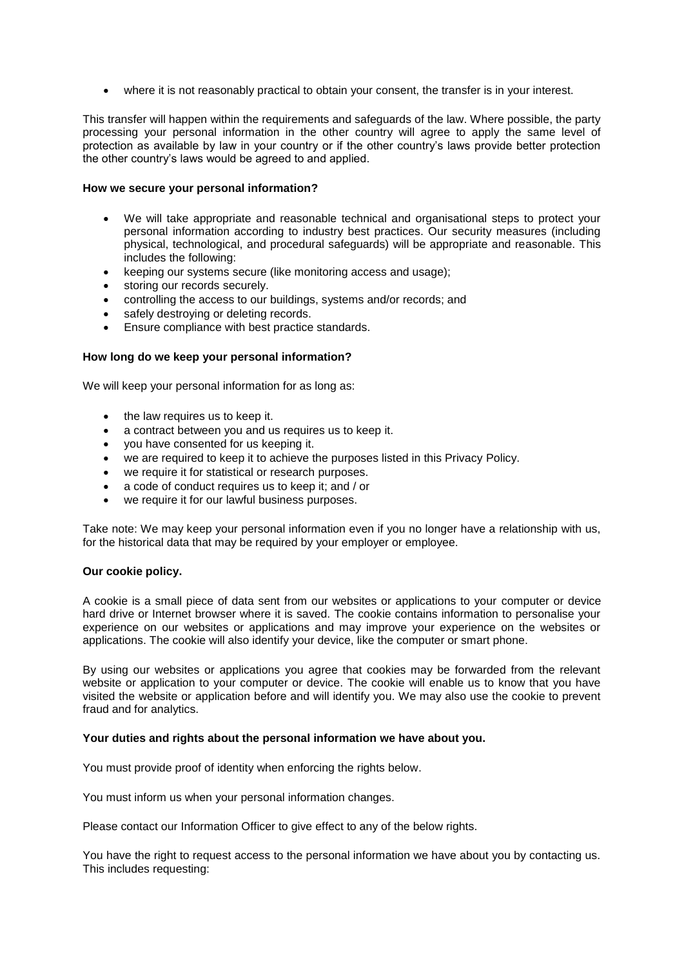where it is not reasonably practical to obtain your consent, the transfer is in your interest.

This transfer will happen within the requirements and safeguards of the law. Where possible, the party processing your personal information in the other country will agree to apply the same level of protection as available by law in your country or if the other country's laws provide better protection the other country's laws would be agreed to and applied.

#### **How we secure your personal information?**

- We will take appropriate and reasonable technical and organisational steps to protect your personal information according to industry best practices. Our security measures (including physical, technological, and procedural safeguards) will be appropriate and reasonable. This includes the following:
- keeping our systems secure (like monitoring access and usage);
- storing our records securely.
- controlling the access to our buildings, systems and/or records; and
- safely destroying or deleting records.
- Ensure compliance with best practice standards.

#### **How long do we keep your personal information?**

We will keep your personal information for as long as:

- the law requires us to keep it.
- a contract between you and us requires us to keep it.
- you have consented for us keeping it.
- we are required to keep it to achieve the purposes listed in this Privacy Policy.
- we require it for statistical or research purposes.
- a code of conduct requires us to keep it; and / or
- we require it for our lawful business purposes.

Take note: We may keep your personal information even if you no longer have a relationship with us, for the historical data that may be required by your employer or employee.

#### **Our cookie policy.**

A cookie is a small piece of data sent from our websites or applications to your computer or device hard drive or Internet browser where it is saved. The cookie contains information to personalise your experience on our websites or applications and may improve your experience on the websites or applications. The cookie will also identify your device, like the computer or smart phone.

By using our websites or applications you agree that cookies may be forwarded from the relevant website or application to your computer or device. The cookie will enable us to know that you have visited the website or application before and will identify you. We may also use the cookie to prevent fraud and for analytics.

#### **Your duties and rights about the personal information we have about you.**

You must provide proof of identity when enforcing the rights below.

You must inform us when your personal information changes.

Please contact our Information Officer to give effect to any of the below rights.

You have the right to request access to the personal information we have about you by contacting us. This includes requesting: